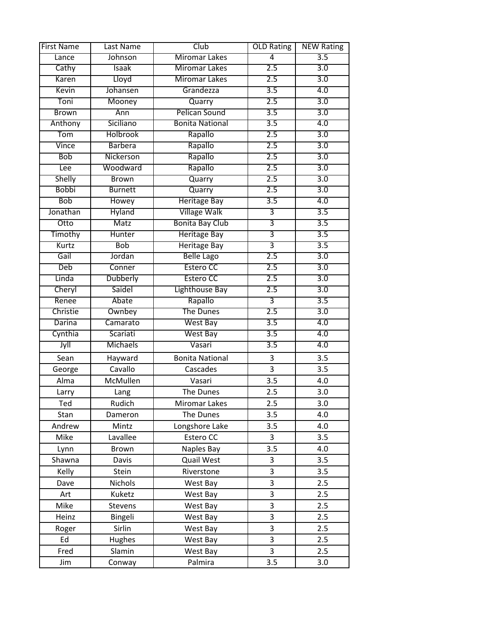| <b>First Name</b> | Last Name       | Club                   | <b>OLD Rating</b> | <b>NEW Rating</b> |
|-------------------|-----------------|------------------------|-------------------|-------------------|
| Lance             | Johnson         | <b>Miromar Lakes</b>   | 4                 | 3.5               |
| Cathy             | <b>Isaak</b>    | <b>Miromar Lakes</b>   | 2.5               | $\overline{3.0}$  |
| Karen             | Lloyd           | <b>Miromar Lakes</b>   | 2.5               | 3.0               |
| Kevin             | Johansen        | Grandezza              | 3.5               | 4.0               |
| Toni              | Mooney          | Quarry                 | 2.5               | 3.0               |
| <b>Brown</b>      | Ann             | <b>Pelican Sound</b>   | $\overline{3.5}$  | $\overline{3.0}$  |
| Anthony           | Siciliano       | <b>Bonita National</b> | $\overline{3.5}$  | 4.0               |
| Tom               | <b>Holbrook</b> | Rapallo                | 2.5               | 3.0               |
| Vince             | <b>Barbera</b>  | Rapallo                | 2.5               | 3.0               |
| <b>Bob</b>        | Nickerson       | Rapallo                | 2.5               | $\overline{3.0}$  |
| Lee               | Woodward        | Rapallo                | 2.5               | $\overline{3.0}$  |
| Shelly            | <b>Brown</b>    | Quarry                 | 2.5               | 3.0               |
| <b>Bobbi</b>      | <b>Burnett</b>  | Quarry                 | 2.5               | 3.0               |
| <b>Bob</b>        | Howey           | <b>Heritage Bay</b>    | $\overline{3.5}$  | 4.0               |
| Jonathan          | <b>Hyland</b>   | <b>Village Walk</b>    | 3                 | $\overline{3.5}$  |
| Otto              | Matz            | <b>Bonita Bay Club</b> | 3                 | 3.5               |
| Timothy           | Hunter          | <b>Heritage Bay</b>    | 3                 | 3.5               |
| Kurtz             | <b>Bob</b>      | <b>Heritage Bay</b>    | $\overline{3}$    | $\overline{3.5}$  |
| Gail              | Jordan          | <b>Belle Lago</b>      | 2.5               | $\overline{3.0}$  |
| Deb               | Conner          | <b>Estero CC</b>       | 2.5               | 3.0               |
| Linda             | Dubberly        | <b>Estero CC</b>       | 2.5               | 3.0               |
| Cheryl            | Saidel          | Lighthouse Bay         | 2.5               | 3.0               |
| Renee             | Abate           | Rapallo                | 3                 | $\overline{3.5}$  |
| Christie          | Ownbey          | <b>The Dunes</b>       | 2.5               | $\overline{3.0}$  |
| Darina            | Camarato        | <b>West Bay</b>        | 3.5               | 4.0               |
| Cynthia           | Scariati        | West Bay               | 3.5               | 4.0               |
| Jyll              | <b>Michaels</b> | Vasari                 | $\overline{3.5}$  | 4.0               |
| Sean              | Hayward         | <b>Bonita National</b> | 3                 | 3.5               |
| George            | Cavallo         | Cascades               | 3                 | 3.5               |
| Alma              | McMullen        | Vasari                 | 3.5               | 4.0               |
| Larry             | Lang            | The Dunes              | 2.5               | 3.0               |
| Ted               | Rudich          | Miromar Lakes          | 2.5               | 3.0               |
| Stan              | Dameron         | The Dunes              | 3.5               | 4.0               |
| Andrew            | Mintz           | Longshore Lake         | 3.5               | 4.0               |
| Mike              | Lavallee        | Estero CC              | 3                 | 3.5               |
| Lynn              | Brown           | Naples Bay             | 3.5               | 4.0               |
| Shawna            | Davis           | Quail West             | 3                 | 3.5               |
| Kelly             | Stein           | Riverstone             | 3                 | 3.5               |
| Dave              | Nichols         | West Bay               | $\overline{3}$    | 2.5               |
| Art               | Kuketz          | West Bay               | 3                 | 2.5               |
| Mike              | Stevens         | West Bay               | 3                 | 2.5               |
| Heinz             | Bingeli         | West Bay               | 3                 | 2.5               |
| Roger             | Sirlin          | West Bay               | 3                 | 2.5               |
| Ed                | <b>Hughes</b>   | West Bay               | 3                 | 2.5               |
| Fred              | Slamin          | West Bay               | 3                 | 2.5               |
| Jim               | Conway          | Palmira                | 3.5               | 3.0               |
|                   |                 |                        |                   |                   |